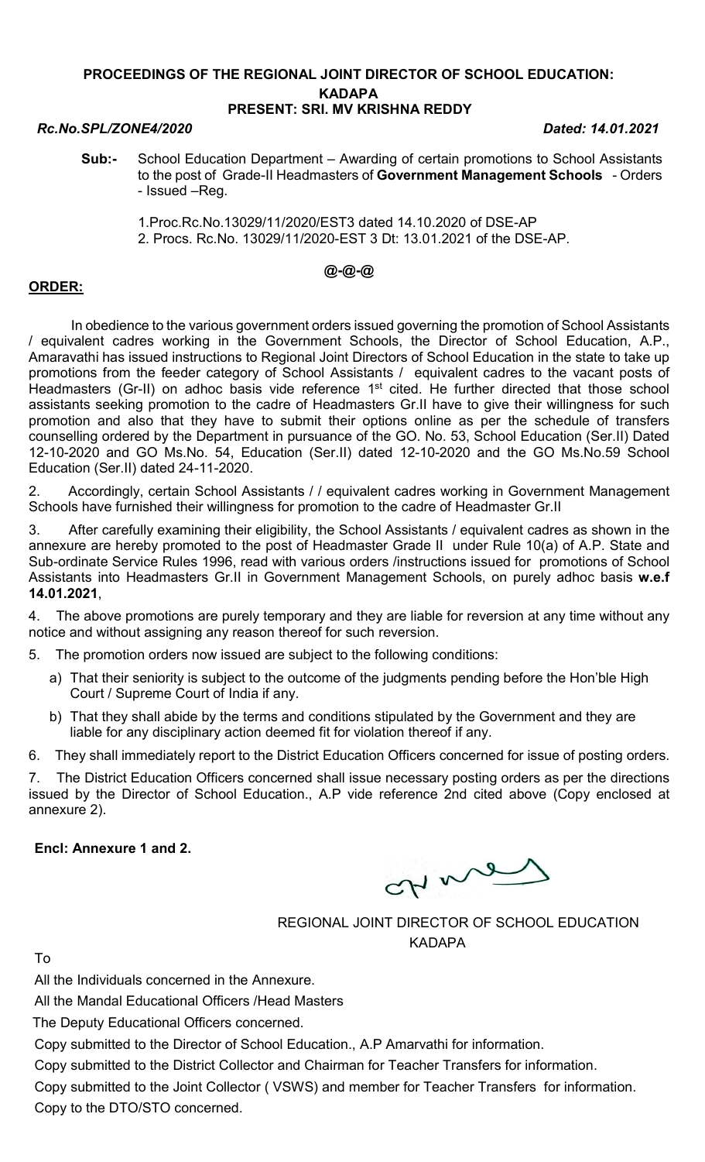### PROCEEDINGS OF THE REGIONAL JOINT DIRECTOR OF SCHOOL EDUCATION: **KADAPA** PRESENT: SRI. MV KRISHNA REDDY

### Rc.No.SPL/ZONE4/2020 Dated: 14.01.2021

- Sub:- School Education Department Awarding of certain promotions to School Assistants to the post of Grade-II Headmasters of Government Management Schools - Orders - Issued –Reg.
	- 1.Proc.Rc.No.13029/11/2020/EST3 dated 14.10.2020 of DSE-AP 2. Procs. Rc.No. 13029/11/2020-EST 3 Dt: 13.01.2021 of the DSE-AP.

# @-@-@

## ORDER:

 In obedience to the various government orders issued governing the promotion of School Assistants / equivalent cadres working in the Government Schools, the Director of School Education, A.P., Amaravathi has issued instructions to Regional Joint Directors of School Education in the state to take up promotions from the feeder category of School Assistants / equivalent cadres to the vacant posts of Headmasters (Gr-II) on adhoc basis vide reference 1<sup>st</sup> cited. He further directed that those school assistants seeking promotion to the cadre of Headmasters Gr.II have to give their willingness for such promotion and also that they have to submit their options online as per the schedule of transfers counselling ordered by the Department in pursuance of the GO. No. 53, School Education (Ser.II) Dated 12-10-2020 and GO Ms.No. 54, Education (Ser.II) dated 12-10-2020 and the GO Ms.No.59 School Education (Ser.II) dated 24-11-2020.

2. Accordingly, certain School Assistants / / equivalent cadres working in Government Management Schools have furnished their willingness for promotion to the cadre of Headmaster Gr.II

3. After carefully examining their eligibility, the School Assistants / equivalent cadres as shown in the annexure are hereby promoted to the post of Headmaster Grade II under Rule 10(a) of A.P. State and Sub-ordinate Service Rules 1996, read with various orders /instructions issued for promotions of School Assistants into Headmasters Gr.II in Government Management Schools, on purely adhoc basis w.e.f 14.01.2021,

4. The above promotions are purely temporary and they are liable for reversion at any time without any notice and without assigning any reason thereof for such reversion.

5. The promotion orders now issued are subject to the following conditions:

- a) That their seniority is subject to the outcome of the judgments pending before the Hon'ble High Court / Supreme Court of India if any.
- b) That they shall abide by the terms and conditions stipulated by the Government and they are liable for any disciplinary action deemed fit for violation thereof if any.

6. They shall immediately report to the District Education Officers concerned for issue of posting orders.

7. The District Education Officers concerned shall issue necessary posting orders as per the directions issued by the Director of School Education., A.P vide reference 2nd cited above (Copy enclosed at annexure 2).

Encl: Annexure 1 and 2.

ctive

REGIONAL JOINT DIRECTOR OF SCHOOL EDUCATION KADAPA

To

All the Individuals concerned in the Annexure.

All the Mandal Educational Officers /Head Masters

The Deputy Educational Officers concerned.

Copy submitted to the Director of School Education., A.P Amarvathi for information.

Copy submitted to the District Collector and Chairman for Teacher Transfers for information.

Copy submitted to the Joint Collector ( VSWS) and member for Teacher Transfers for information. Copy to the DTO/STO concerned.